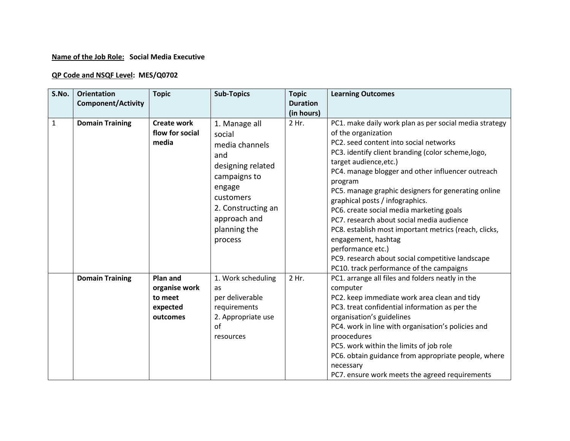## **Name of the Job Role: Social Media Executive**

## **QP Code and NSQF Level: MES/Q0702**

| S.No.        | <b>Orientation</b><br><b>Component/Activity</b> | <b>Topic</b>                                                 | <b>Sub-Topics</b>                                                                                                                                                             | <b>Topic</b><br><b>Duration</b> | <b>Learning Outcomes</b>                                                                                                                                                                                                                                                                                                                                                                                                                                                                                                                                                                                                                                        |
|--------------|-------------------------------------------------|--------------------------------------------------------------|-------------------------------------------------------------------------------------------------------------------------------------------------------------------------------|---------------------------------|-----------------------------------------------------------------------------------------------------------------------------------------------------------------------------------------------------------------------------------------------------------------------------------------------------------------------------------------------------------------------------------------------------------------------------------------------------------------------------------------------------------------------------------------------------------------------------------------------------------------------------------------------------------------|
|              |                                                 |                                                              |                                                                                                                                                                               | (in hours)                      |                                                                                                                                                                                                                                                                                                                                                                                                                                                                                                                                                                                                                                                                 |
| $\mathbf{1}$ | <b>Domain Training</b>                          | <b>Create work</b><br>flow for social<br>media               | 1. Manage all<br>social<br>media channels<br>and<br>designing related<br>campaigns to<br>engage<br>customers<br>2. Constructing an<br>approach and<br>planning the<br>process | 2 Hr.                           | PC1. make daily work plan as per social media strategy<br>of the organization<br>PC2, seed content into social networks<br>PC3. identify client branding (color scheme, logo,<br>target audience, etc.)<br>PC4. manage blogger and other influencer outreach<br>program<br>PC5. manage graphic designers for generating online<br>graphical posts / infographics.<br>PC6. create social media marketing goals<br>PC7. research about social media audience<br>PC8. establish most important metrics (reach, clicks,<br>engagement, hashtag<br>performance etc.)<br>PC9. research about social competitive landscape<br>PC10. track performance of the campaigns |
|              | <b>Domain Training</b>                          | Plan and<br>organise work<br>to meet<br>expected<br>outcomes | 1. Work scheduling<br>as<br>per deliverable<br>requirements<br>2. Appropriate use<br>οf<br>resources                                                                          | 2 Hr.                           | PC1. arrange all files and folders neatly in the<br>computer<br>PC2. keep immediate work area clean and tidy<br>PC3. treat confidential information as per the<br>organisation's guidelines<br>PC4. work in line with organisation's policies and<br>proocedures<br>PC5. work within the limits of job role<br>PC6. obtain guidance from appropriate people, where<br>necessary<br>PC7. ensure work meets the agreed requirements                                                                                                                                                                                                                               |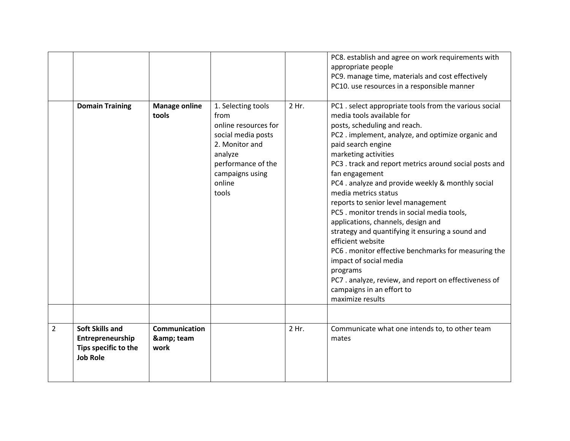|                | <b>Domain Training</b>                                                                | <b>Manage online</b><br>tools          | 1. Selecting tools<br>from<br>online resources for<br>social media posts<br>2. Monitor and<br>analyze<br>performance of the<br>campaigns using<br>online<br>tools | 2 Hr. | PC8. establish and agree on work requirements with<br>appropriate people<br>PC9. manage time, materials and cost effectively<br>PC10. use resources in a responsible manner<br>PC1. select appropriate tools from the various social<br>media tools available for<br>posts, scheduling and reach.<br>PC2. implement, analyze, and optimize organic and<br>paid search engine<br>marketing activities<br>PC3 . track and report metrics around social posts and<br>fan engagement<br>PC4 . analyze and provide weekly & monthly social<br>media metrics status<br>reports to senior level management<br>PC5 . monitor trends in social media tools, |
|----------------|---------------------------------------------------------------------------------------|----------------------------------------|-------------------------------------------------------------------------------------------------------------------------------------------------------------------|-------|----------------------------------------------------------------------------------------------------------------------------------------------------------------------------------------------------------------------------------------------------------------------------------------------------------------------------------------------------------------------------------------------------------------------------------------------------------------------------------------------------------------------------------------------------------------------------------------------------------------------------------------------------|
|                |                                                                                       |                                        |                                                                                                                                                                   |       | applications, channels, design and<br>strategy and quantifying it ensuring a sound and<br>efficient website<br>PC6 . monitor effective benchmarks for measuring the<br>impact of social media<br>programs<br>PC7 . analyze, review, and report on effectiveness of<br>campaigns in an effort to<br>maximize results                                                                                                                                                                                                                                                                                                                                |
| $\overline{2}$ | <b>Soft Skills and</b><br>Entrepreneurship<br>Tips specific to the<br><b>Job Role</b> | <b>Communication</b><br>& team<br>work |                                                                                                                                                                   | 2 Hr. | Communicate what one intends to, to other team<br>mates                                                                                                                                                                                                                                                                                                                                                                                                                                                                                                                                                                                            |